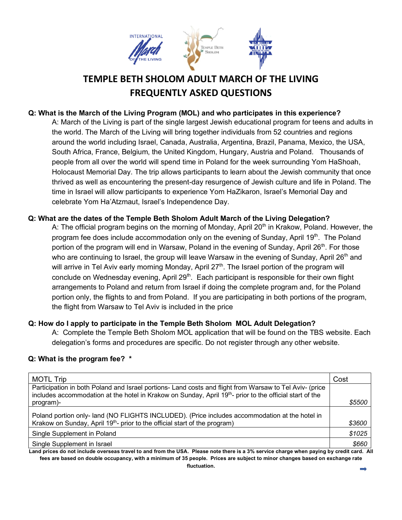

# **TEMPLE BETH SHOLOM ADULT MARCH OF THE LIVING FREQUENTLY ASKED QUESTIONS**

# **Q: What is the March of the Living Program (MOL) and who participates in this experience?**

A: March of the Living is part of the single largest Jewish educational program for teens and adults in the world. The March of the Living will bring together individuals from 52 countries and regions around the world including Israel, Canada, Australia, Argentina, Brazil, Panama, Mexico, the USA, South Africa, France, Belgium, the United Kingdom, Hungary, Austria and Poland. Thousands of people from all over the world will spend time in Poland for the week surrounding Yom HaShoah, Holocaust Memorial Day. The trip allows participants to learn about the Jewish community that once thrived as well as encountering the present-day resurgence of Jewish culture and life in Poland. The time in Israel will allow participants to experience Yom HaZikaron, Israel's Memorial Day and celebrate Yom Ha'Atzmaut, Israel's Independence Day.

#### **Q: What are the dates of the Temple Beth Sholom Adult March of the Living Delegation?**

A: The official program begins on the morning of Monday, April 20<sup>th</sup> in Krakow, Poland. However, the program fee does include accommodation only on the evening of Sunday, April 19<sup>th</sup>. The Poland portion of the program will end in Warsaw, Poland in the evening of Sunday, April 26<sup>th</sup>. For those who are continuing to Israel, the group will leave Warsaw in the evening of Sunday, April  $26<sup>th</sup>$  and will arrive in Tel Aviv early morning Monday, April 27<sup>th</sup>. The Israel portion of the program will conclude on Wednesday evening, April 29<sup>th</sup>. Each participant is responsible for their own flight arrangements to Poland and return from Israel if doing the complete program and, for the Poland portion only, the flights to and from Poland. If you are participating in both portions of the program, the flight from Warsaw to Tel Aviv is included in the price

#### **Q: How do I apply to participate in the Temple Beth Sholom MOL Adult Delegation?**

A: Complete the Temple Beth Sholom MOL application that will be found on the TBS website. Each delegation's forms and procedures are specific. Do not register through any other website.

#### **Q: What is the program fee? \***

| <b>MOTL Trip</b>                                                                                                                                                                                                   | Cost   |
|--------------------------------------------------------------------------------------------------------------------------------------------------------------------------------------------------------------------|--------|
| Participation in both Poland and Israel portions- Land costs and flight from Warsaw to Tel Aviv- (price<br>includes accommodation at the hotel in Krakow on Sunday, April 19th- prior to the official start of the |        |
| program)-                                                                                                                                                                                                          | \$5500 |
| Poland portion only- land (NO FLIGHTS INCLUDED). (Price includes accommodation at the hotel in<br>Krakow on Sunday, April 19 <sup>th</sup> - prior to the official start of the program)                           |        |
|                                                                                                                                                                                                                    | \$3600 |
| Single Supplement in Poland                                                                                                                                                                                        | \$1025 |
| Single Supplement in Israel                                                                                                                                                                                        | \$660  |

**Land prices do not include overseas travel to and from the USA. Please note there is a 3% service charge when paying by credit card. All fees are based on double occupancy, with a minimum of 35 people. Prices are subject to minor changes based on exchange rate**